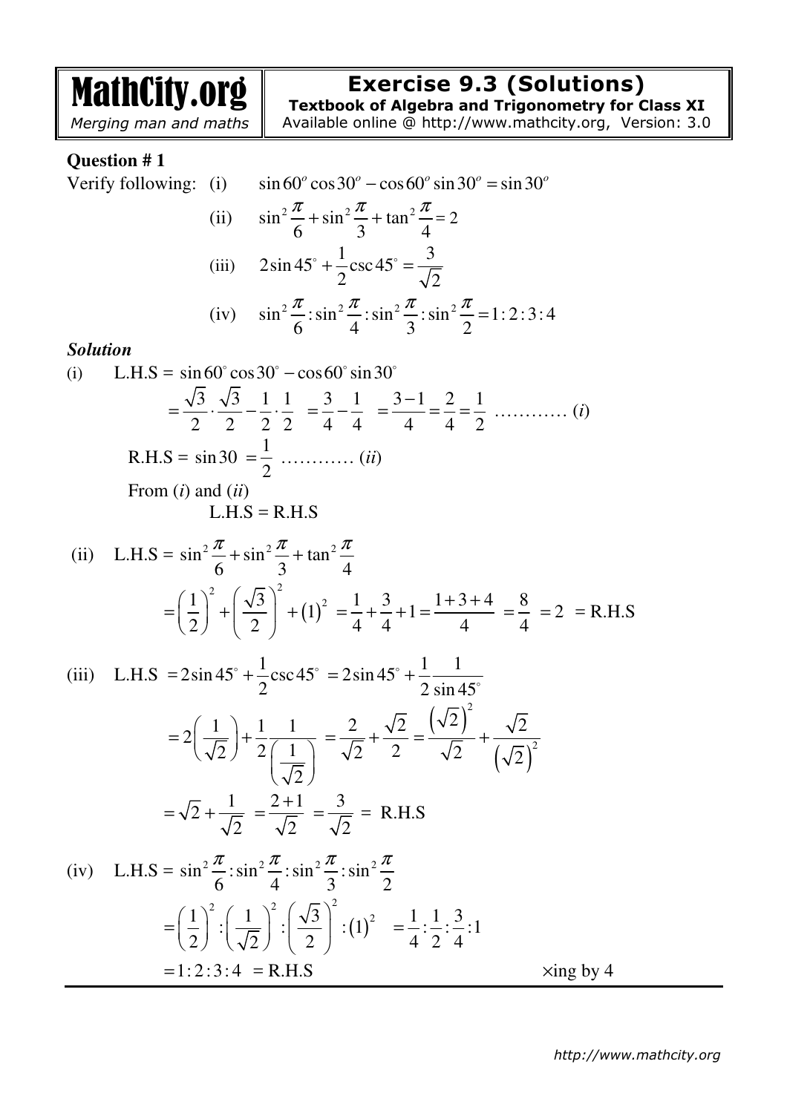MathCity.org *Merging man and maths* **Exercise 9.3 (Solutions) Textbook of Algebra and Trigonometry for Class XI**  Available online @ http://www.mathcity.org, Version: 3.0 **Question # 1**  Verify following: (i)  $\sin 60^\circ \cos 30^\circ - \cos 60^\circ \sin 30^\circ = \sin 30^\circ$ (ii)  $\sin^2\frac{\pi}{6} + \sin^2\frac{\pi}{6} + \tan^2\frac{\pi}{6}$ 6 3 4  $\pi$   $\cdots$   $2 \pi$  $+\sin^2\frac{\pi}{2} + \tan^2\frac{\pi}{4} = 2$ (iii)  $2\sin 45^\circ + \frac{1}{2}\csc 45^\circ = \frac{3}{4}$ 2  $\sqrt{2}$  $\frac{1}{2}$  +  $\frac{1}{2}$  csc 45° = (iv)  $\sin^2 \frac{\pi}{2} : \sin^2 \frac{\pi}{2} : \sin^2 \frac{\pi}{2} : \sin^2 \frac{\pi}{2} = 1 : 2 : 3 : 4$ 6 4 3 2  $\pi$   $\pi$   $\pi$   $\pi$   $\pi$   $\pi$ = *Solution*  (i) L.H.S =  $\sin 60^\circ \cos 30^\circ - \cos 60^\circ \sin 30^\circ$  $3\sqrt{3}$  1 1 2 2 2 2  $=\frac{VU}{2} \cdot \frac{VU}{2} - \frac{1}{2} \cdot \frac{1}{2}$ 3 1 4 4  $=\frac{5}{4}-\frac{1}{4}$  $3 - 1$  2 1 4 4 2 − = = = ………… (*i*) R.H.S =  $\sin 30 = \frac{1}{2}$ 2  $=\frac{1}{2}$  ………… *(ii)*  From (*i*) and (*ii*)  $L.H.S = R.H.S$ (ii) L.H.S =  $\sin^2 \frac{\pi}{6} + \sin^2 \frac{\pi}{6} + \tan^2 \frac{\pi}{6}$ 6 3 4  $\pi$   $\frac{1}{2}$   $\pi$  $+\sin^2\frac{\pi}{2}$  +  $(1)^{2}$  $1$ <sup>2</sup>  $(\sqrt{3})^2$   $(1)^2$ 1 2) (2  $\left(1\right)^2$   $\left(\sqrt{3}\right)^2$  $=\left(\frac{1}{2}\right)+\left(\frac{\sqrt{3}}{2}\right)+$  $\frac{1}{1} + \frac{3}{1} + 1$ 4 4  $=\frac{1}{4} + \frac{5}{4} + \frac{1}{4}$  $1 + 3 + 4$ 4  $+3+$ = 8 4  $=\frac{6}{4}$  = 2 = R.H.S (iii) L.H.S =  $2\sin 45^\circ + \frac{1}{2}\csc 45$ 2  $\frac{1}{2}$  csc 45° = 2sin 45° +  $\frac{1}{2}$   $\frac{1}{2}$ 2 sin 45  $= 2\sin 45^\circ + \frac{1}{2} \frac{1}{\sin 45^\circ}$  $2\left(\frac{1}{\sqrt{2}}\right) + \frac{1}{2} \frac{1}{\sqrt{1}}$  $2$  )  $2(1$ 2  $(1)$  $= 2\left(\frac{1}{\sqrt{2}}\right) + \frac{1}{2}\frac{1}{\left(\frac{1}{\sqrt{2}}\right)}$ 2  $\sqrt{2}$ 2 2  $=\frac{2}{\sqrt{2}}+$  $(\sqrt{2})$  $(\sqrt{2})^2$ 2 2 2)  $\sqrt{2}$ 2  $\left(\sqrt{2}\right)$  $=\frac{1}{2}+$ 1 2 2  $=\sqrt{2} +$  $2 + 1$ 2 + = 3 2  $=\frac{3}{\sqrt{2}}$  = R.H.S (iv) L.H.S =  $\sin^2 \frac{\pi}{6}$ :  $\sin^2 \frac{\pi}{6}$ :  $\sin^2 \frac{\pi}{6}$ :  $\sin^2$ 6 4 3 2  $\pi$   $\frac{1}{2}$   $\pi$   $\frac{1}{2}$   $\pi$   $\frac{1}{2}$   $\pi$  $= \left| \frac{1}{2} \right|$  :  $\left| \frac{1}{\sqrt{2}} \right|$  :  $\left| \frac{\sqrt{3}}{2} \right|$  : (1)  $1 \Big)^2$ ,  $\Big( 1 \Big)^2$ ,  $\Big( \sqrt{3} \Big)^2$ ,  $\Big( 1 \Big)^2$ : $\frac{1}{\sqrt{2}}$  :  $\frac{\sqrt{3}}{2}$  : (1 2)  $\sqrt{2}$   $\sqrt{2}$  $(1)^{2} (1)^{2} (\sqrt{3})^{2}$  $=\left(\frac{1}{2}\right)^{2}:\left(\frac{1}{\sqrt{2}}\right)^{2}:\left(\frac{\sqrt{3}}{2}\right)^{3}:\left(1\right)^{2}=\frac{1}{4}:\frac{1}{2}:\frac{3}{4}:1$ 4 2 4 =  $= 1: 2: 3: 4 = R.H.S$   $\times$  ing by 4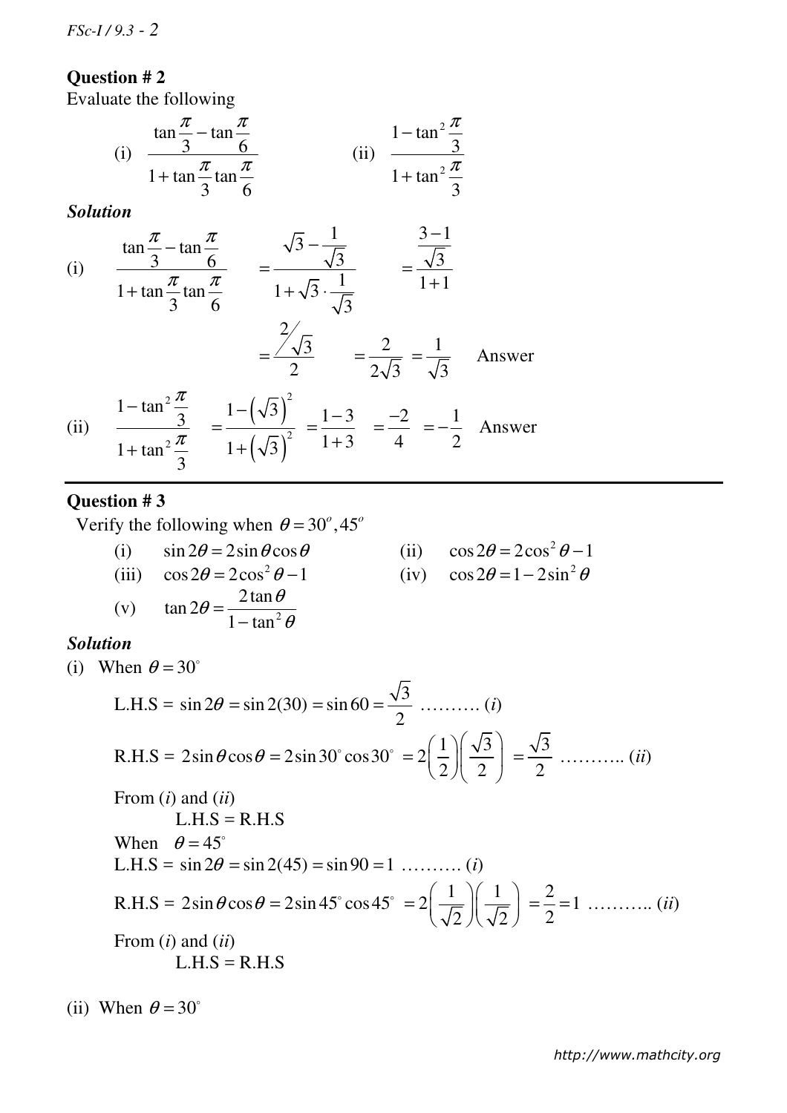## **Question # 2**

Evaluate the following

(i) 
$$
\frac{\tan \frac{\pi}{3} - \tan \frac{\pi}{6}}{1 + \tan \frac{\pi}{3} \tan \frac{\pi}{6}}
$$
 (ii) 
$$
\frac{1 - \tan^2 \frac{\pi}{3}}{1 + \tan^2 \frac{\pi}{3}}
$$

*Solution*

(i) 
$$
\frac{\tan \frac{\pi}{3} - \tan \frac{\pi}{6}}{1 + \tan \frac{\pi}{3} \tan \frac{\pi}{6}} = \frac{\sqrt{3} - \frac{1}{\sqrt{3}}}{1 + \sqrt{3} \cdot \frac{1}{\sqrt{3}}} = \frac{\frac{3 - 1}{\sqrt{3}}}{1 + 1}
$$
  

$$
= \frac{2}{\sqrt{3}} = \frac{2}{2\sqrt{3}} = \frac{1}{\sqrt{3}}
$$
Answer  
(ii) 
$$
\frac{1 - \tan^2 \frac{\pi}{3}}{1 + \tan^2 \frac{\pi}{3}} = \frac{1 - (\sqrt{3})^2}{1 + (\sqrt{3})^2} = \frac{1 - 3}{1 + 3} = \frac{-2}{4} = -\frac{1}{2}
$$
Answer

## **Question # 3**

Verify the following when  $\theta = 30^\circ, 45^\circ$ 

θ

=

(i)  $\sin 2\theta = 2\sin \theta \cos \theta$  (ii) (iii)  $\cos 2\theta = 2\cos^2 \theta - 1$  (iv)  $\cos 2\theta = 1 - 2\sin^2 \theta$ (v)  $\tan 2\theta = \frac{2\tan \theta}{1 + \tan^2 \theta}$ θ

 $1 - \tan$ 

−

θ

(ii) 
$$
\cos 2\theta = 2\cos^2 \theta - 1
$$
  
(iv)  $\cos 2\theta = 1 - 2\sin^2 \theta$ 

## *Solution*

(i) When  $\theta = 30^\circ$ 

L.H.S = 
$$
\sin 2\theta = \sin 2(30) = \sin 60 = \frac{\sqrt{3}}{2}
$$
 ......... (i)  
\nR.H.S =  $2\sin \theta \cos \theta = 2\sin 30^\circ \cos 30^\circ = 2(\frac{1}{2})(\frac{\sqrt{3}}{2}) = \frac{\sqrt{3}}{2}$  ......... (ii)  
\nFrom (i) and (ii)  
\nL.H.S = R.H.S  
\nWhen  $\theta = 45^\circ$   
\nL.H.S =  $\sin 2\theta = \sin 2(45) = \sin 90 = 1$  ......... (i)  
\nR.H.S =  $2\sin \theta \cos \theta = 2\sin 45^\circ \cos 45^\circ = 2(\frac{1}{\sqrt{2}})(\frac{1}{\sqrt{2}}) = \frac{2}{2} = 1$  ......... (ii)  
\nFrom (i) and (ii)  
\nL.H.S = R.H.S

(ii) When  $\theta = 30^\circ$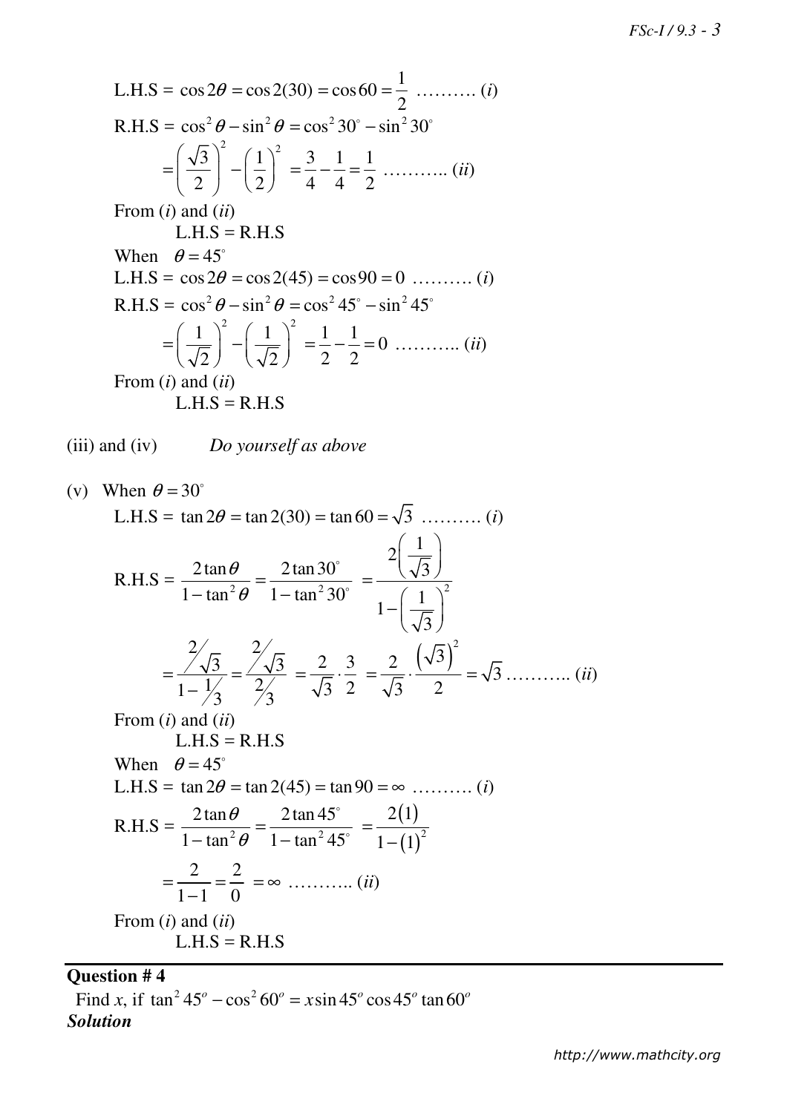L.H.S =  $\cos 2\theta = \cos 2(30) = \cos 60 = \frac{1}{2}$ 2  $=\frac{1}{2}$  ……….. (*i*)  $R.H.S = \cos^2 \theta - \sin^2 \theta = \cos^2 30^\circ - \sin^2 30^\circ$  $\overline{3}$   $\bigg\}^2$   $\bigg(1\bigg)^2$ 2 (2  $\left(\sqrt{3}\right)^2$   $\left(1\right)^2$  $=\left(\frac{\sqrt{3}}{2}\right) - \left(\frac{1}{2}\right)$  $3 \t1 \t1$ 4 4 2 = − = ……….. (*ii*) From (*i*) and (*ii*)  $L.H.S = R.H.S$ When  $\theta = 45^\circ$ L.H.S =  $\cos 2\theta = \cos 2(45) = \cos 90 = 0$  .......... (*i*)  $R.H.S = \cos^2 \theta - \sin^2 \theta = \cos^2 45^\circ - \sin^2 45^\circ$  $1$   $\big)$ <sup>2</sup>  $(1)$ <sup>2</sup> 2)  $\sqrt{2}$  $\left(1\right)^{2}$   $\left(1\right)^{2}$  $=\left(\frac{1}{\sqrt{2}}\right) - \left(\frac{1}{\sqrt{2}}\right)$  $\frac{1}{2} - \frac{1}{2} = 0$ 2 2  $=\frac{1}{2} - \frac{1}{2} = 0$  ........... (*ii*) From (*i*) and (*ii*)  $L.H.S = R.H.S$ 

(iii) and (iv) *Do yourself as above* 

(v) When 
$$
\theta = 30^{\circ}
$$
  
\nL.H.S =  $\tan 2\theta = \tan 2(30) = \tan 60 = \sqrt{3}$  ......... (i)  
\nR.H.S =  $\frac{2 \tan \theta}{1 - \tan^2 \theta} = \frac{2 \tan 30^{\circ}}{1 - \tan^2 30^{\circ}} = \frac{2(\frac{1}{\sqrt{3}})}{1 - (\frac{1}{\sqrt{3}})^2}$   
\n $= \frac{\frac{2}{\sqrt{3}}}{1 - \frac{1}{\sqrt{3}}} = \frac{\frac{2}{\sqrt{3}}}{\frac{2}{\sqrt{3}}} = \frac{2}{\sqrt{3}} \cdot \frac{3}{2} = \frac{2}{\sqrt{3}} \cdot \frac{(\sqrt{3})^2}{2} = \sqrt{3}$  ......... (ii)  
\nFrom (i) and (ii)  
\nL.H.S = R.H.S  
\nWhen  $\theta = 45^{\circ}$   
\nL.H.S =  $\tan 2\theta = \tan 2(45) = \tan 90 = \infty$  ......... (i)  
\nR.H.S =  $\frac{2 \tan \theta}{1 - \tan^2 \theta} = \frac{2 \tan 45^{\circ}}{1 - \tan^2 45^{\circ}} = \frac{2(1)}{1 - (1)^2}$   
\n $= \frac{2}{1 - 1} = \frac{2}{0} = \infty$  ......... (ii)  
\nFrom (i) and (ii)  
\nL.H.S = R.H.S

#### **Question # 4**

Find *x*, if  $\tan^2 45^\circ - \cos^2 60^\circ = x \sin 45^\circ \cos 45^\circ \tan 60^\circ$ *Solution*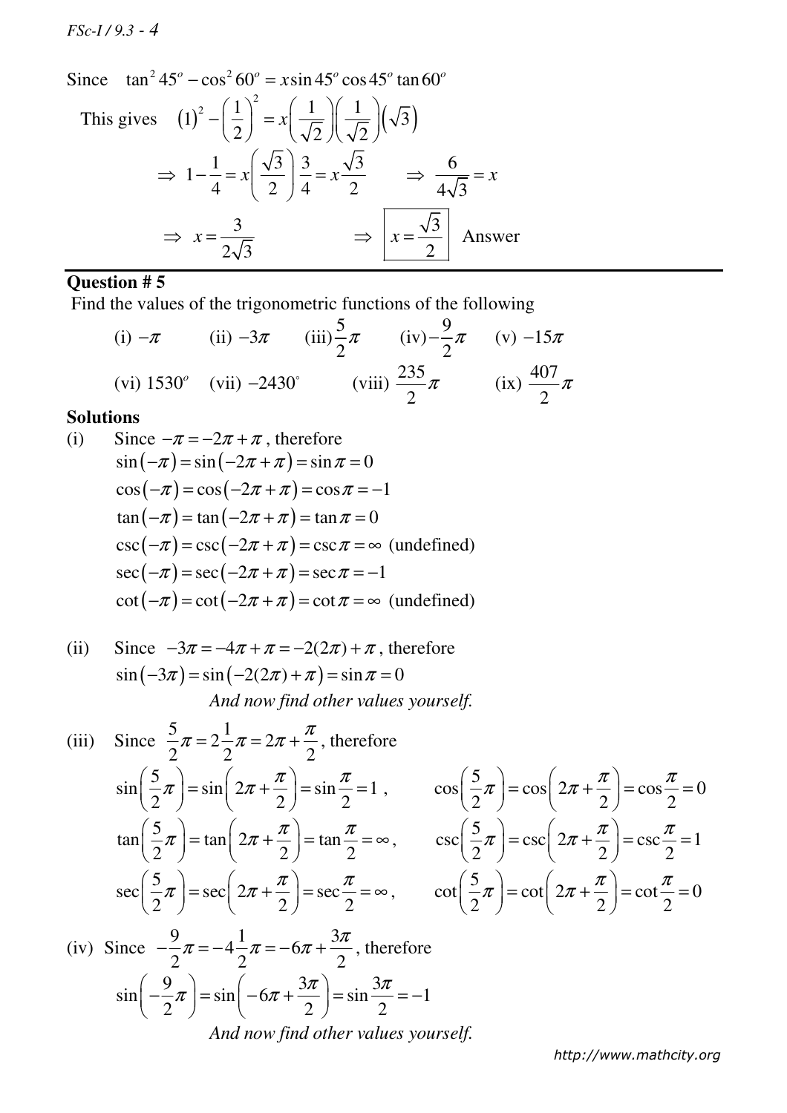*FSc-I / 9.3 - 4*

Since  $\tan^2 45^\circ - \cos^2 60^\circ = x \sin 45^\circ \cos 45^\circ \tan 60^\circ$ 

This gives 
$$
(1)^2 - \left(\frac{1}{2}\right)^2 = x \left(\frac{1}{\sqrt{2}}\right) \left(\frac{1}{\sqrt{2}}\right) (\sqrt{3})
$$
  
\n $\Rightarrow 1 - \frac{1}{4} = x \left(\frac{\sqrt{3}}{2}\right) \frac{3}{4} = x \frac{\sqrt{3}}{2} \Rightarrow \frac{6}{4\sqrt{3}} = x$   
\n $\Rightarrow x = \frac{3}{2\sqrt{3}}$   $\Rightarrow \boxed{x = \frac{\sqrt{3}}{2}}$  Answer

# **Question # 5**

Find the values of the trigonometric functions of the following

(i) 
$$
-\pi
$$
 (ii)  $-3\pi$  (iii)  $\frac{5}{2}\pi$  (iv)  $-\frac{9}{2}\pi$  (v)  $-15\pi$   
(vi)  $1530^\circ$  (vii)  $-2430^\circ$  (viii)  $\frac{235}{2}\pi$  (ix)  $\frac{407}{2}\pi$ 

### **Solutions**

(i) Since 
$$
-\pi = -2\pi + \pi
$$
, therefore  
\n
$$
\sin(-\pi) = \sin(-2\pi + \pi) = \sin \pi = 0
$$
\n
$$
\cos(-\pi) = \cos(-2\pi + \pi) = \cos \pi = -1
$$
\n
$$
\tan(-\pi) = \tan(-2\pi + \pi) = \tan \pi = 0
$$
\n
$$
\csc(-\pi) = \csc(-2\pi + \pi) = \csc \pi = \infty \text{ (undefined)}
$$
\n
$$
\sec(-\pi) = \sec(-2\pi + \pi) = \sec \pi = -1
$$
\n
$$
\cot(-\pi) = \cot(-2\pi + \pi) = \cot \pi = \infty \text{ (undefined)}
$$

(ii) Since 
$$
-3\pi = -4\pi + \pi = -2(2\pi) + \pi
$$
, therefore  
\n $sin(-3\pi) = sin(-2(2\pi) + \pi) = sin \pi = 0$   
\nAnd now find other values yourself.

(iii) Since 
$$
\frac{5}{2}\pi = 2\frac{1}{2}\pi = 2\pi + \frac{\pi}{2}
$$
, therefore  
\n
$$
\sin\left(\frac{5}{2}\pi\right) = \sin\left(2\pi + \frac{\pi}{2}\right) = \sin\frac{\pi}{2} = 1, \qquad \cos\left(\frac{5}{2}\pi\right) = \cos\left(2\pi + \frac{\pi}{2}\right) = \cos\frac{\pi}{2} = 0
$$
\n
$$
\tan\left(\frac{5}{2}\pi\right) = \tan\left(2\pi + \frac{\pi}{2}\right) = \tan\frac{\pi}{2} = \infty, \qquad \csc\left(\frac{5}{2}\pi\right) = \csc\left(2\pi + \frac{\pi}{2}\right) = \csc\frac{\pi}{2} = 1
$$
\n
$$
\sec\left(\frac{5}{2}\pi\right) = \sec\left(2\pi + \frac{\pi}{2}\right) = \sec\frac{\pi}{2} = \infty, \qquad \cot\left(\frac{5}{2}\pi\right) = \cot\left(2\pi + \frac{\pi}{2}\right) = \cot\frac{\pi}{2} = 0
$$

(iv) Since 
$$
-\frac{9}{2}\pi = -4\frac{1}{2}\pi = -6\pi + \frac{3\pi}{2}
$$
, therefore  
\n
$$
\sin\left(-\frac{9}{2}\pi\right) = \sin\left(-6\pi + \frac{3\pi}{2}\right) = \sin\frac{3\pi}{2} = -1
$$
\nAnd now find other values yourself.

*http://www.mathcity.org*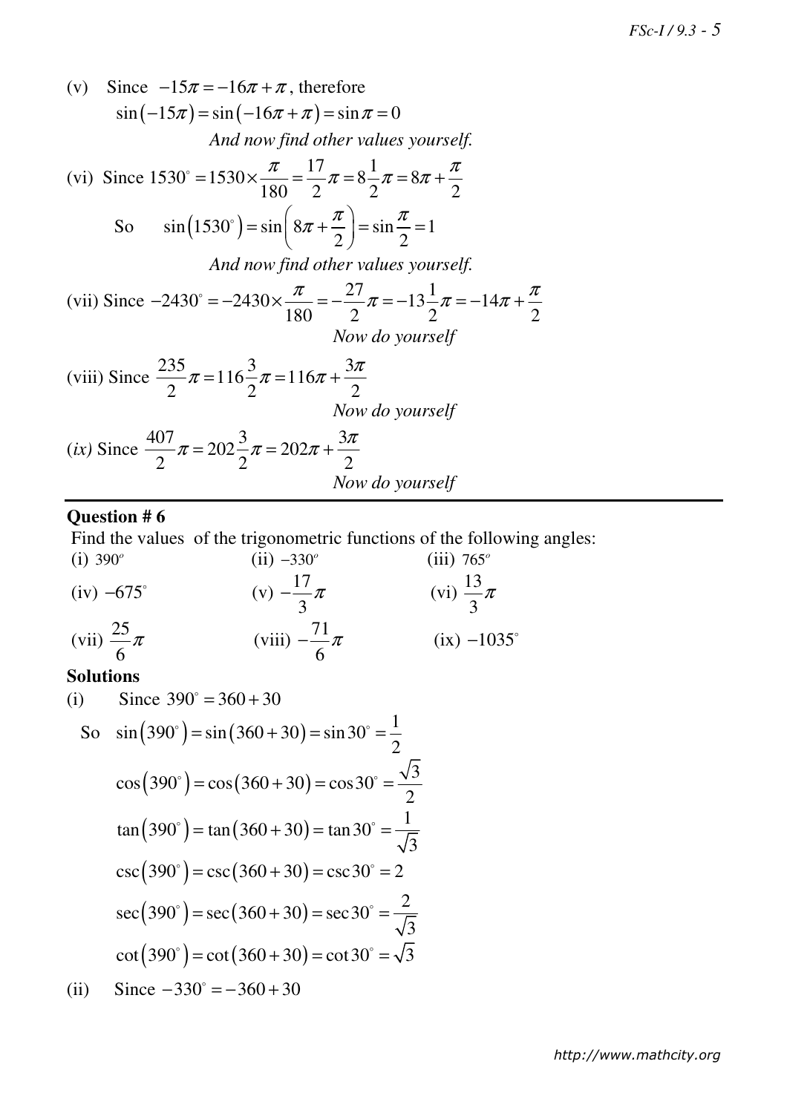(v) Since 
$$
-15\pi = -16\pi + \pi
$$
, therefore  
\n $\sin(-15\pi) = \sin(-16\pi + \pi) = \sin \pi = 0$   
\nAnd now find other values yourself.  
\n(vi) Since  $1530^\circ = 1530 \times \frac{\pi}{180} = \frac{17}{2}\pi = 8\frac{1}{2}\pi = 8\pi + \frac{\pi}{2}$   
\nSo  $\sin(1530^\circ) = \sin\left(8\pi + \frac{\pi}{2}\right) = \sin\frac{\pi}{2} = 1$   
\nAnd now find other values yourself.  
\n(vii) Since  $-2430^\circ = -2430 \times \frac{\pi}{180} = -\frac{27}{2}\pi = -13\frac{1}{2}\pi = -14\pi + \frac{\pi}{2}$   
\nNow do yourself  
\n(viii) Since  $\frac{235}{2}\pi = 116\frac{3}{2}\pi = 116\pi + \frac{3\pi}{2}$   
\nNow do yourself  
\n(ix) Since  $\frac{407}{2}\pi = 202\frac{3}{2}\pi = 202\pi + \frac{3\pi}{2}$   
\nNow do yourself  
\nNow do yourself

# **Question # 6**

Find the values of the trigonometric functions of the following angles:

(i) 390°  
\n(ii) -330°  
\n(iii) 765°  
\n(iv) -675°  
\n(v) 
$$
-\frac{17}{3}\pi
$$
  
\n(vii)  $\frac{25}{6}\pi$   
\n(viii)  $-\frac{71}{6}\pi$   
\n(viii)  $-\frac{71}{6}\pi$   
\n(ix) -1035°

#### **Solutions**

(i) Since 390° = 360 + 30  
\nSo 
$$
sin(390°) = sin(360 + 30) = sin 30° = \frac{1}{2}
$$
  
\n $cos(390°) = cos(360 + 30) = cos 30° = \frac{\sqrt{3}}{2}$   
\n $tan(390°) = tan(360 + 30) = tan 30° = \frac{1}{\sqrt{3}}$   
\n $csc(390°) = csc(360 + 30) = csc 30° = 2$   
\n $sec(390°) = sec(360 + 30) = sec 30° = \frac{2}{\sqrt{3}}$   
\n $cot(390°) = cot(360 + 30) = cot 30° = \sqrt{3}$   
\n(ii) Since -330° = -360 + 30